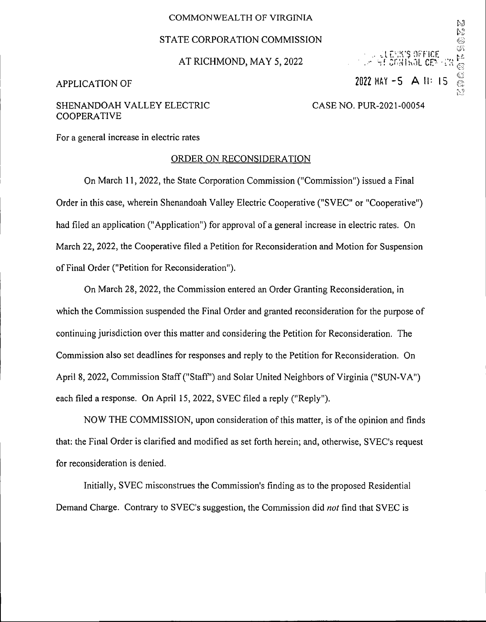#### COMMONWEALTH OF VIRGINIA

### STATE CORPORATION COMMISSION

AT RICHMOND, MAY 5, 2022

# APPLICATION OF 2022 MAY -5 A 11: 15

 $\sqcup$  erfice  $\sim$  MF CMITROL CEN

.<br>©©

MESS 14

D)

## SHENANDOAH VALLEY ELECTRIC COOPERATIVE

CASE NO. PUR-2021-00054

For a general increase in electric rates

### ORDER ON RECONSIDERATION

On March 11, 2022, the State Corporation Commission ("Commission") issued a Final Order in this case, wherein Shenandoah Valley Electric Cooperative ("SVEC" or "Cooperative") had filed an application ("Application") for approval of a general increase in electric rates. On March 22, 2022, the Cooperative filed a Petition for Reconsideration and Motion for Suspension ofFinal Order ("Petition for Reconsideration").

On March 28, 2022, the Commission entered an Order Granting Reconsideration, in which the Commission suspended the Final Order and granted reconsideration for the purpose of continuing jurisdiction over this matter and considering the Petition for Reconsideration. The Commission also set deadlines for responses and reply to the Petition for Reconsideration. On April 8, 2022, Commission Staff("Staff') and Solar United Neighbors of Virginia ("SUN-VA") each filed a response. On April 15, 2022, SVEC filed a reply ("Reply").

NOW THE COMMISSION, upon consideration of this matter, is of the opinion and finds that: the Final Order is clarified and modified as set forth herein; and, otherwise, SVEC's request for reconsideration is denied.

Initially, SVEC misconstrues the Commission's finding as to the proposed Residential Demand Charge. Contrary to SVEC's suggestion, the Commission did *not* find that SVEC is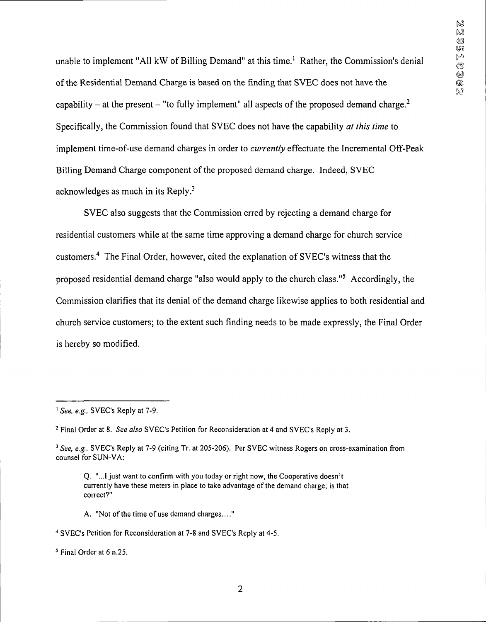unable to implement "All kW of Billing Demand" at this time.<sup>1</sup> Rather, the Commission's denial of the Residential Demand Charge is based on the finding that SVEC does not have the capability – at the present – "to fully implement" all aspects of the proposed demand charge.<sup>2</sup> Specifically, the Commission found that SVEC does not have the capability *at this time* to implement time-of-use demand charges in order to *currently* effectuate the Incremental Off-Peak Billing Demand Charge component of the proposed demand charge. Indeed, SVEC acknowledges as much in its Reply.3

SVEC also suggests that the Commission erred by rejecting a demand charge for residential customers while at the same time approving a demand charge for church service customers.4 The Final Order, however, cited the explanation of SVEC's witness that the proposed residential demand charge "also would apply to the church class."5 Accordingly, the Commission clarifies that its denial of the demand charge likewise applies to both residential and church service customers; to the extent such finding needs to be made expressly, the Final Order is hereby so modified.

A. "Not of the time of use demand charges...."

**<sup>i</sup>** *See, e.g.,* SVEC's Reply at 7-9.

<sup>2</sup> Final Order at 8. *See also* SVEC's Petition for Reconsideration at 4 and SVEC's Reply at 3.

*<sup>3</sup> See, e.g.,* SVEC's Reply at 7-9 (citing Tr. at 205-206). Per SVEC witness Rogers on cross-examination from counsel for SUN-VA:

Q. "...I just want to confirm with you today or right now, the Cooperative doesn't currently have these meters in place to take advantage of the demand charge; is that correct?"

<sup>4</sup> SVEC's Petition for Reconsideration at 7-8 and SVEC's Reply at 4-5.

<sup>5</sup> Final Order at 6 n.25.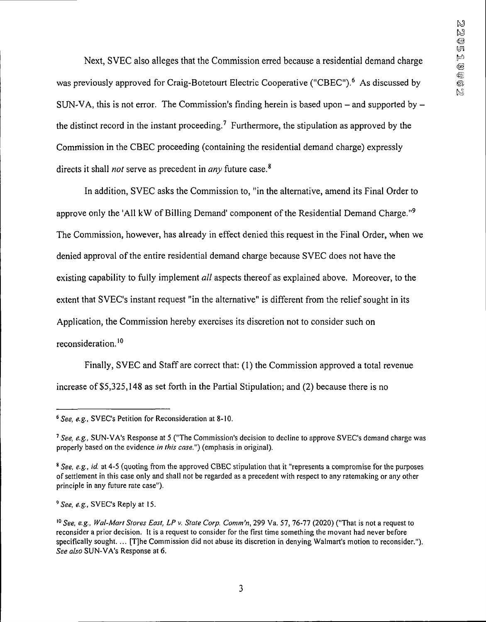Next, SVEC also alleges that the Commission erred because a residential demand charge was previously approved for Craig-Botetourt Electric Cooperative ("CBEC").<sup>6</sup> As discussed by SUN-VA, this is not error. The Commission's finding herein is based upon  $-$  and supported by  $$ the distinct record in the instant proceeding.<sup>7</sup> Furthermore, the stipulation as approved by the Commission in the CBEC proceeding (containing the residential demand charge) expressly **<sup>8</sup>** directs it shall *not* serve as precedent in *any* future case.

In addition, SVEC asks the Commission to, "in the alternative, amend its Final Order to approve only the 'All kW of Billing Demand' component of the Residential Demand Charge."<sup>9</sup> The Commission, however, has already in effect denied this request in the Final Order, when we denied approval ofthe entire residential demand charge because SVEC does not have the existing capability to fully implement *all* aspects thereof as explained above. Moreover, to the extent that SVEC's instant request "in the alternative" is different from the relief sought in its Application, the Commission hereby exercises its discretion not to consider such on reconsideration.10

Finally, SVEC and Staff are correct that: (1) the Commission approved a total revenue increase of \$5,325,148 as set forth in the Partial Stipulation; and (2) because there is no

*<sup>9</sup> See, e.g.,* SVEC's Reply at 15.

*<sup>6</sup> See, e.g.,* SVEC's Petition for Reconsideration at 8-10.

*<sup>7</sup>See, e.g.,* SUN-VA's Response at 5 ("The Commission's decision to decline to approve SVEC's demand charge was properly based on the evidence *in this case")* (emphasis in original).

*<sup>8</sup> See, e.g., id.* at 4-5 (quoting from the approved CBEC stipulation that it "represents a compromise for the purposes ofsettlement in this case only and shall not be regarded as a precedent with respect to any ratemaking or any other principle in any future rate case").

*<sup>10</sup> See, e.g., Wal-Mart Stores East, LP v. State Corp. Comm'n,* 299 Va. 57, 76-77 (2020) ("That is not a request to reconsider a prior decision. It is a request to consider for the first time something the movant had never before specifically sought. ... [T]he Commission did not abuse its discretion in denying Walmart's motion to reconsider."). *See also* SUN-VA's Response at 6.